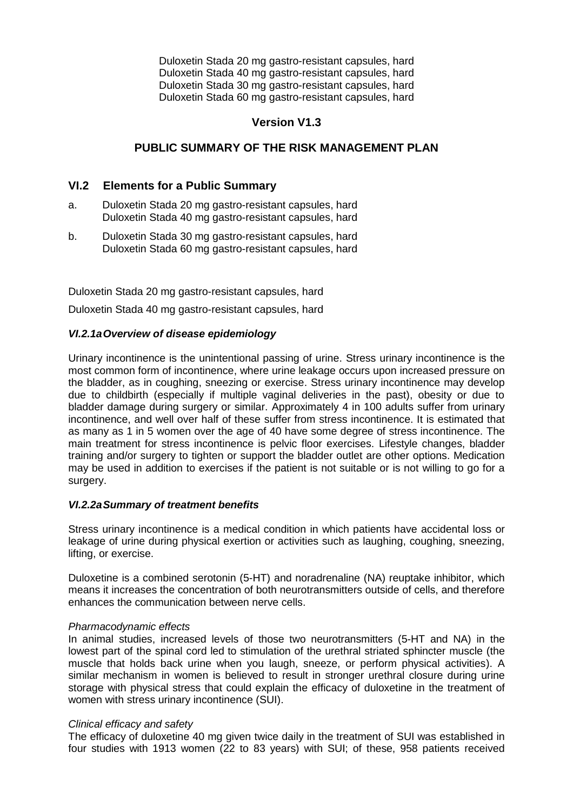Duloxetin Stada 20 mg gastro-resistant capsules, hard Duloxetin Stada 40 mg gastro-resistant capsules, hard Duloxetin Stada 30 mg gastro-resistant capsules, hard Duloxetin Stada 60 mg gastro-resistant capsules, hard

# **Version V1.3**

# **PUBLIC SUMMARY OF THE RISK MANAGEMENT PLAN**

# **VI.2 Elements for a Public Summary**

- a. Duloxetin Stada 20 mg gastro-resistant capsules, hard Duloxetin Stada 40 mg gastro-resistant capsules, hard
- b. Duloxetin Stada 30 mg gastro-resistant capsules, hard Duloxetin Stada 60 mg gastro-resistant capsules, hard

Duloxetin Stada 20 mg gastro-resistant capsules, hard

Duloxetin Stada 40 mg gastro-resistant capsules, hard

### *VI.2.1aOverview of disease epidemiology*

Urinary incontinence is the unintentional passing of urine. Stress urinary incontinence is the most common form of incontinence, where urine leakage occurs upon increased pressure on the bladder, as in coughing, sneezing or exercise. Stress urinary incontinence may develop due to childbirth (especially if multiple vaginal deliveries in the past), obesity or due to bladder damage during surgery or similar. Approximately 4 in 100 adults suffer from urinary incontinence, and well over half of these suffer from stress incontinence. It is estimated that as many as 1 in 5 women over the age of 40 have some degree of stress incontinence. The main treatment for stress incontinence is pelvic floor exercises. Lifestyle changes, bladder training and/or surgery to tighten or support the bladder outlet are other options. Medication may be used in addition to exercises if the patient is not suitable or is not willing to go for a surgery.

### *VI.2.2aSummary of treatment benefits*

Stress urinary incontinence is a medical condition in which patients have accidental loss or leakage of urine during physical exertion or activities such as laughing, coughing, sneezing, lifting, or exercise.

Duloxetine is a combined serotonin (5-HT) and noradrenaline (NA) reuptake inhibitor, which means it increases the concentration of both neurotransmitters outside of cells, and therefore enhances the communication between nerve cells.

#### *Pharmacodynamic effects*

In animal studies, increased levels of those two neurotransmitters (5-HT and NA) in the lowest part of the spinal cord led to stimulation of the urethral striated sphincter muscle (the muscle that holds back urine when you laugh, sneeze, or perform physical activities). A similar mechanism in women is believed to result in stronger urethral closure during urine storage with physical stress that could explain the efficacy of duloxetine in the treatment of women with stress urinary incontinence (SUI).

### *Clinical efficacy and safety*

The efficacy of duloxetine 40 mg given twice daily in the treatment of SUI was established in four studies with 1913 women (22 to 83 years) with SUI; of these, 958 patients received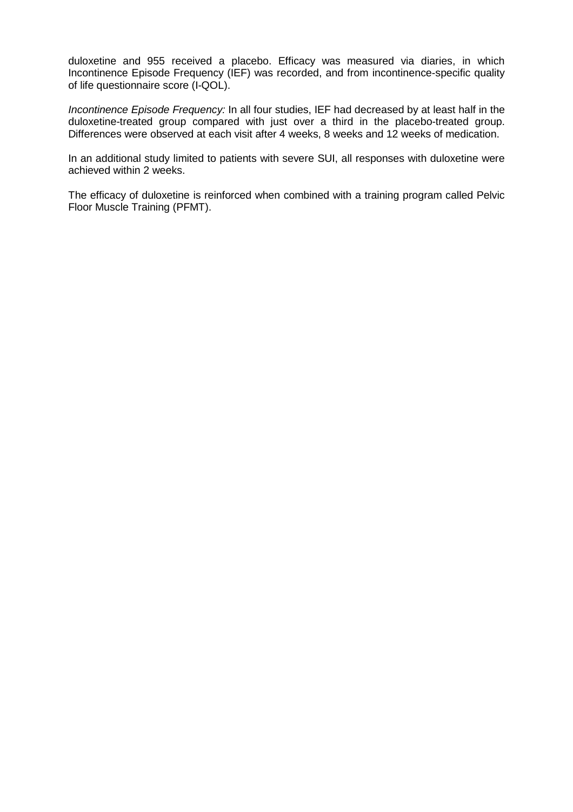duloxetine and 955 received a placebo. Efficacy was measured via diaries, in which Incontinence Episode Frequency (IEF) was recorded, and from incontinence-specific quality of life questionnaire score (I-QOL).

*Incontinence Episode Frequency:* In all four studies, IEF had decreased by at least half in the duloxetine-treated group compared with just over a third in the placebo-treated group. Differences were observed at each visit after 4 weeks, 8 weeks and 12 weeks of medication.

In an additional study limited to patients with severe SUI, all responses with duloxetine were achieved within 2 weeks.

The efficacy of duloxetine is reinforced when combined with a training program called Pelvic Floor Muscle Training (PFMT).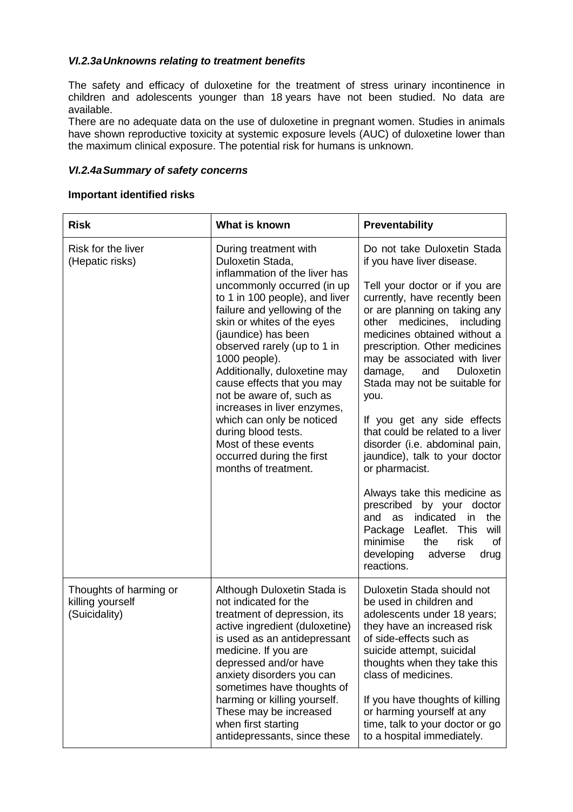# *VI.2.3aUnknowns relating to treatment benefits*

The safety and efficacy of duloxetine for the treatment of stress urinary incontinence in children and adolescents younger than 18 years have not been studied. No data are available.

There are no adequate data on the use of duloxetine in pregnant women. Studies in animals have shown reproductive toxicity at systemic exposure levels (AUC) of duloxetine lower than the maximum clinical exposure. The potential risk for humans is unknown.

#### *VI.2.4aSummary of safety concerns*

#### **Important identified risks**

| <b>Risk</b>                                                 | What is known                                                                                                                                                                                                                                                                                                                                                                                                                                                                                                                             | <b>Preventability</b>                                                                                                                                                                                                                                                                                                                                                                                                                                                                                                                                                                                                                                                                                                                                  |
|-------------------------------------------------------------|-------------------------------------------------------------------------------------------------------------------------------------------------------------------------------------------------------------------------------------------------------------------------------------------------------------------------------------------------------------------------------------------------------------------------------------------------------------------------------------------------------------------------------------------|--------------------------------------------------------------------------------------------------------------------------------------------------------------------------------------------------------------------------------------------------------------------------------------------------------------------------------------------------------------------------------------------------------------------------------------------------------------------------------------------------------------------------------------------------------------------------------------------------------------------------------------------------------------------------------------------------------------------------------------------------------|
| Risk for the liver<br>(Hepatic risks)                       | During treatment with<br>Duloxetin Stada,<br>inflammation of the liver has<br>uncommonly occurred (in up<br>to 1 in 100 people), and liver<br>failure and yellowing of the<br>skin or whites of the eyes<br>(jaundice) has been<br>observed rarely (up to 1 in<br>1000 people).<br>Additionally, duloxetine may<br>cause effects that you may<br>not be aware of, such as<br>increases in liver enzymes,<br>which can only be noticed<br>during blood tests.<br>Most of these events<br>occurred during the first<br>months of treatment. | Do not take Duloxetin Stada<br>if you have liver disease.<br>Tell your doctor or if you are<br>currently, have recently been<br>or are planning on taking any<br>other medicines, including<br>medicines obtained without a<br>prescription. Other medicines<br>may be associated with liver<br>damage,<br>and<br><b>Duloxetin</b><br>Stada may not be suitable for<br>you.<br>If you get any side effects<br>that could be related to a liver<br>disorder (i.e. abdominal pain,<br>jaundice), talk to your doctor<br>or pharmacist.<br>Always take this medicine as<br>prescribed by your doctor<br>indicated<br>and as<br>the<br>in<br>Package Leaflet. This<br>will<br>minimise<br>the<br>risk<br>of<br>developing<br>adverse<br>drug<br>reactions. |
| Thoughts of harming or<br>killing yourself<br>(Suicidality) | Although Duloxetin Stada is<br>not indicated for the<br>treatment of depression, its<br>active ingredient (duloxetine)<br>is used as an antidepressant<br>medicine. If you are<br>depressed and/or have<br>anxiety disorders you can<br>sometimes have thoughts of<br>harming or killing yourself.<br>These may be increased<br>when first starting<br>antidepressants, since these                                                                                                                                                       | Duloxetin Stada should not<br>be used in children and<br>adolescents under 18 years;<br>they have an increased risk<br>of side-effects such as<br>suicide attempt, suicidal<br>thoughts when they take this<br>class of medicines.<br>If you have thoughts of killing<br>or harming yourself at any<br>time, talk to your doctor or go<br>to a hospital immediately.                                                                                                                                                                                                                                                                                                                                                                                   |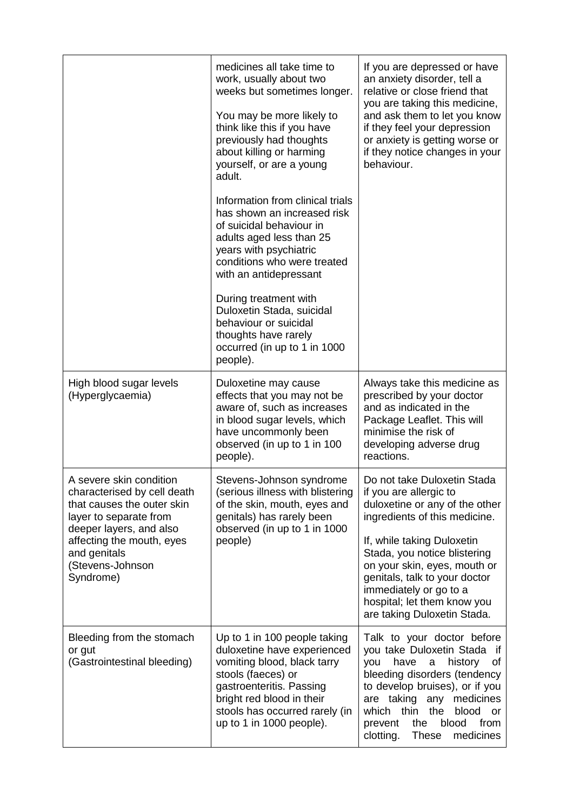|                                                                                                                                                                                                                         | medicines all take time to<br>work, usually about two<br>weeks but sometimes longer.<br>You may be more likely to<br>think like this if you have<br>previously had thoughts<br>about killing or harming<br>yourself, or are a young<br>adult.<br>Information from clinical trials<br>has shown an increased risk<br>of suicidal behaviour in<br>adults aged less than 25<br>years with psychiatric<br>conditions who were treated<br>with an antidepressant<br>During treatment with<br>Duloxetin Stada, suicidal<br>behaviour or suicidal<br>thoughts have rarely<br>occurred (in up to 1 in 1000<br>people). | If you are depressed or have<br>an anxiety disorder, tell a<br>relative or close friend that<br>you are taking this medicine,<br>and ask them to let you know<br>if they feel your depression<br>or anxiety is getting worse or<br>if they notice changes in your<br>behaviour.                                                                 |
|-------------------------------------------------------------------------------------------------------------------------------------------------------------------------------------------------------------------------|----------------------------------------------------------------------------------------------------------------------------------------------------------------------------------------------------------------------------------------------------------------------------------------------------------------------------------------------------------------------------------------------------------------------------------------------------------------------------------------------------------------------------------------------------------------------------------------------------------------|-------------------------------------------------------------------------------------------------------------------------------------------------------------------------------------------------------------------------------------------------------------------------------------------------------------------------------------------------|
| High blood sugar levels<br>(Hyperglycaemia)                                                                                                                                                                             | Duloxetine may cause<br>effects that you may not be<br>aware of, such as increases<br>in blood sugar levels, which<br>have uncommonly been<br>observed (in up to 1 in 100<br>people).                                                                                                                                                                                                                                                                                                                                                                                                                          | Always take this medicine as<br>prescribed by your doctor<br>and as indicated in the<br>Package Leaflet. This will<br>minimise the risk of<br>developing adverse drug<br>reactions.                                                                                                                                                             |
| A severe skin condition<br>characterised by cell death<br>that causes the outer skin<br>layer to separate from<br>deeper layers, and also<br>affecting the mouth, eyes<br>and genitals<br>(Stevens-Johnson<br>Syndrome) | Stevens-Johnson syndrome<br>(serious illness with blistering<br>of the skin, mouth, eyes and<br>genitals) has rarely been<br>observed (in up to 1 in 1000<br>people)                                                                                                                                                                                                                                                                                                                                                                                                                                           | Do not take Duloxetin Stada<br>if you are allergic to<br>duloxetine or any of the other<br>ingredients of this medicine.<br>If, while taking Duloxetin<br>Stada, you notice blistering<br>on your skin, eyes, mouth or<br>genitals, talk to your doctor<br>immediately or go to a<br>hospital; let them know you<br>are taking Duloxetin Stada. |
| Bleeding from the stomach<br>or gut<br>(Gastrointestinal bleeding)                                                                                                                                                      | Up to 1 in 100 people taking<br>duloxetine have experienced<br>vomiting blood, black tarry<br>stools (faeces) or<br>gastroenteritis. Passing<br>bright red blood in their<br>stools has occurred rarely (in<br>up to 1 in 1000 people).                                                                                                                                                                                                                                                                                                                                                                        | Talk to your doctor before<br>you take Duloxetin Stada if<br>have<br>history<br>you<br>a<br>0t<br>bleeding disorders (tendency<br>to develop bruises), or if you<br>are taking any medicines<br>the<br>which thin<br>blood<br>or<br>blood<br>from<br>the<br>prevent<br>medicines<br>clotting.<br><b>These</b>                                   |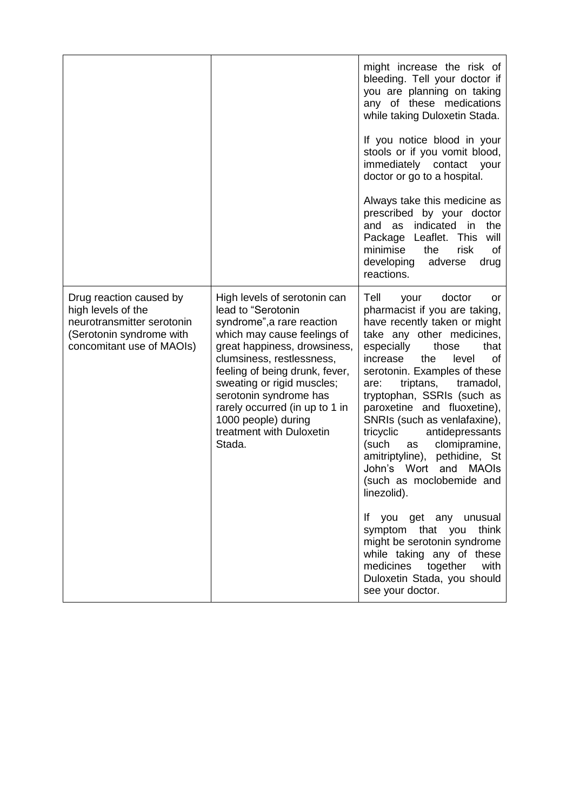|                                                                                                                                      |                                                                                                                                                                                                                                                                                                                                                                       | might increase the risk of<br>bleeding. Tell your doctor if<br>you are planning on taking<br>any of these medications<br>while taking Duloxetin Stada.<br>If you notice blood in your<br>stools or if you vomit blood,<br>immediately contact<br>your<br>doctor or go to a hospital.<br>Always take this medicine as<br>prescribed by your doctor<br>and as indicated in<br>the<br>Package Leaflet. This<br>will<br>minimise<br>the<br>risk<br>οf<br>developing<br>adverse<br>drug                                                                         |
|--------------------------------------------------------------------------------------------------------------------------------------|-----------------------------------------------------------------------------------------------------------------------------------------------------------------------------------------------------------------------------------------------------------------------------------------------------------------------------------------------------------------------|------------------------------------------------------------------------------------------------------------------------------------------------------------------------------------------------------------------------------------------------------------------------------------------------------------------------------------------------------------------------------------------------------------------------------------------------------------------------------------------------------------------------------------------------------------|
| Drug reaction caused by<br>high levels of the<br>neurotransmitter serotonin<br>(Serotonin syndrome with<br>concomitant use of MAOIs) | High levels of serotonin can<br>lead to "Serotonin<br>syndrome", a rare reaction<br>which may cause feelings of<br>great happiness, drowsiness,<br>clumsiness, restlessness,<br>feeling of being drunk, fever,<br>sweating or rigid muscles;<br>serotonin syndrome has<br>rarely occurred (in up to 1 in<br>1000 people) during<br>treatment with Duloxetin<br>Stada. | reactions.<br>Tell<br>doctor<br>your<br>or<br>pharmacist if you are taking,<br>have recently taken or might<br>take any other medicines,<br>especially<br>those<br>that<br>increase<br>the<br>level<br>0f<br>serotonin. Examples of these<br>triptans,<br>tramadol,<br>are:<br>tryptophan, SSRIs (such as<br>paroxetine and fluoxetine),<br>SNRIs (such as venlafaxine),<br>tricyclic<br>antidepressants<br>(such<br>clomipramine,<br>as<br>amitriptyline), pethidine, St<br>John's Wort<br>and<br><b>MAOIs</b><br>(such as moclobemide and<br>linezolid). |
|                                                                                                                                      |                                                                                                                                                                                                                                                                                                                                                                       | If you get any unusual<br>symptom that you<br>think<br>might be serotonin syndrome<br>while taking any of these<br>medicines together<br>with<br>Duloxetin Stada, you should<br>see your doctor.                                                                                                                                                                                                                                                                                                                                                           |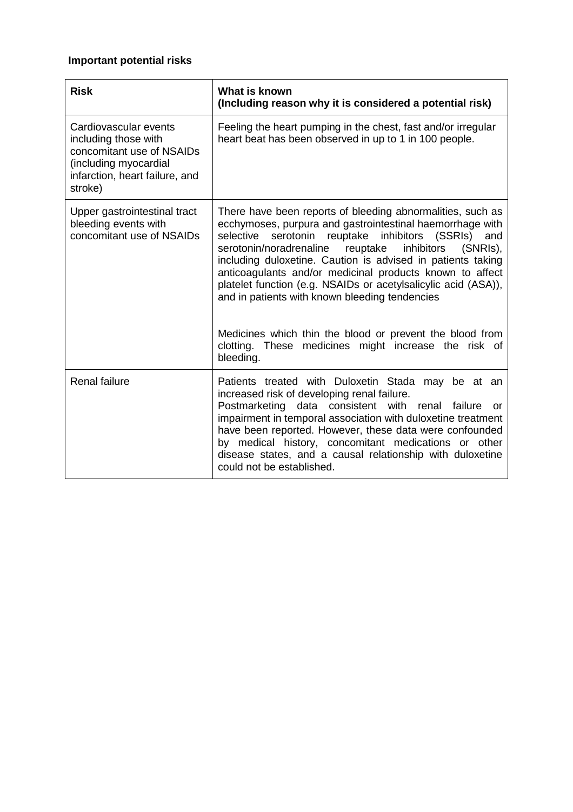# **Important potential risks**

| <b>Risk</b>                                                                                                                                      | What is known<br>(Including reason why it is considered a potential risk)                                                                                                                                                                                                                                                                                                                                                                                                                                                                                                                                                          |
|--------------------------------------------------------------------------------------------------------------------------------------------------|------------------------------------------------------------------------------------------------------------------------------------------------------------------------------------------------------------------------------------------------------------------------------------------------------------------------------------------------------------------------------------------------------------------------------------------------------------------------------------------------------------------------------------------------------------------------------------------------------------------------------------|
| Cardiovascular events<br>including those with<br>concomitant use of NSAIDs<br>(including myocardial<br>infarction, heart failure, and<br>stroke) | Feeling the heart pumping in the chest, fast and/or irregular<br>heart beat has been observed in up to 1 in 100 people.                                                                                                                                                                                                                                                                                                                                                                                                                                                                                                            |
| Upper gastrointestinal tract<br>bleeding events with<br>concomitant use of NSAIDs                                                                | There have been reports of bleeding abnormalities, such as<br>ecchymoses, purpura and gastrointestinal haemorrhage with<br>serotonin reuptake inhibitors (SSRIs)<br>selective<br>and<br>serotonin/noradrenaline reuptake inhibitors<br>$(SNRIs)$ .<br>including duloxetine. Caution is advised in patients taking<br>anticoagulants and/or medicinal products known to affect<br>platelet function (e.g. NSAIDs or acetylsalicylic acid (ASA)),<br>and in patients with known bleeding tendencies<br>Medicines which thin the blood or prevent the blood from<br>clotting. These medicines might increase the risk of<br>bleeding. |
| <b>Renal failure</b>                                                                                                                             | Patients treated with Duloxetin Stada may be at an<br>increased risk of developing renal failure.<br>Postmarketing data consistent with renal<br>failure<br>or<br>impairment in temporal association with duloxetine treatment<br>have been reported. However, these data were confounded<br>by medical history, concomitant medications or other<br>disease states, and a causal relationship with duloxetine<br>could not be established.                                                                                                                                                                                        |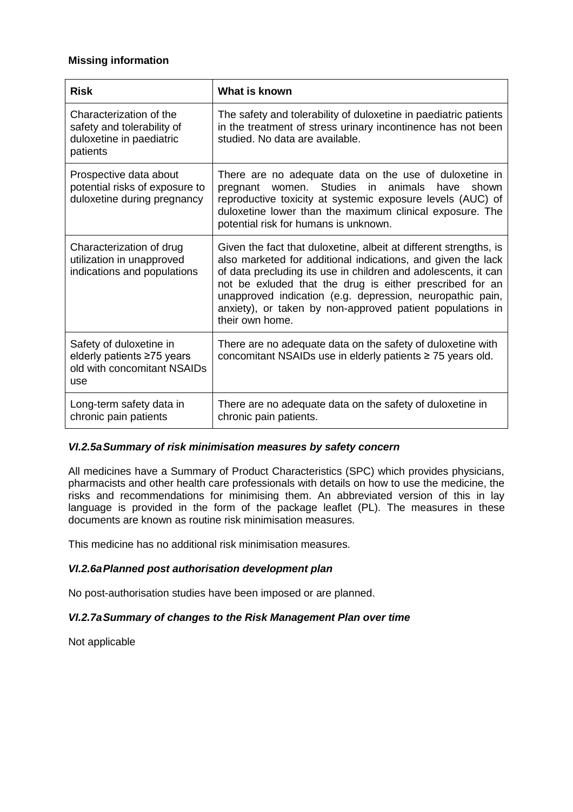## **Missing information**

| <b>Risk</b>                                                                                   | What is known                                                                                                                                                                                                                                                                                                                                                                                                |
|-----------------------------------------------------------------------------------------------|--------------------------------------------------------------------------------------------------------------------------------------------------------------------------------------------------------------------------------------------------------------------------------------------------------------------------------------------------------------------------------------------------------------|
| Characterization of the<br>safety and tolerability of<br>duloxetine in paediatric<br>patients | The safety and tolerability of duloxetine in paediatric patients<br>in the treatment of stress urinary incontinence has not been<br>studied. No data are available.                                                                                                                                                                                                                                          |
| Prospective data about<br>potential risks of exposure to<br>duloxetine during pregnancy       | There are no adequate data on the use of duloxetine in<br>women. Studies in<br>animals<br>have<br>pregnant<br>shown<br>reproductive toxicity at systemic exposure levels (AUC) of<br>duloxetine lower than the maximum clinical exposure. The<br>potential risk for humans is unknown.                                                                                                                       |
| Characterization of drug<br>utilization in unapproved<br>indications and populations          | Given the fact that duloxetine, albeit at different strengths, is<br>also marketed for additional indications, and given the lack<br>of data precluding its use in children and adolescents, it can<br>not be exluded that the drug is either prescribed for an<br>unapproved indication (e.g. depression, neuropathic pain,<br>anxiety), or taken by non-approved patient populations in<br>their own home. |
| Safety of duloxetine in<br>elderly patients ≥75 years<br>old with concomitant NSAIDs<br>use   | There are no adequate data on the safety of duloxetine with<br>concomitant NSAIDs use in elderly patients ≥ 75 years old.                                                                                                                                                                                                                                                                                    |
| Long-term safety data in<br>chronic pain patients                                             | There are no adequate data on the safety of duloxetine in<br>chronic pain patients.                                                                                                                                                                                                                                                                                                                          |

### *VI.2.5aSummary of risk minimisation measures by safety concern*

All medicines have a Summary of Product Characteristics (SPC) which provides physicians, pharmacists and other health care professionals with details on how to use the medicine, the risks and recommendations for minimising them. An abbreviated version of this in lay language is provided in the form of the package leaflet (PL). The measures in these documents are known as routine risk minimisation measures.

This medicine has no additional risk minimisation measures.

### *VI.2.6aPlanned post authorisation development plan*

No post-authorisation studies have been imposed or are planned.

# *VI.2.7aSummary of changes to the Risk Management Plan over time*

Not applicable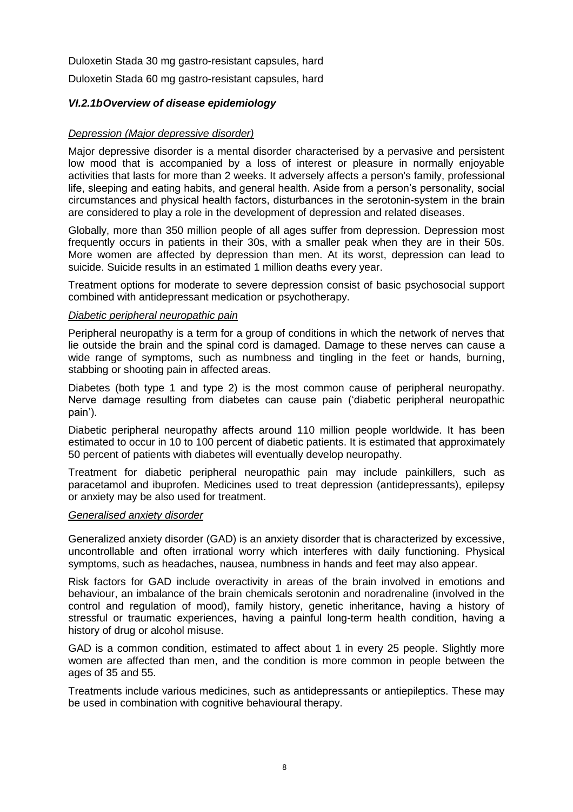Duloxetin Stada 30 mg gastro-resistant capsules, hard

Duloxetin Stada 60 mg gastro-resistant capsules, hard

### *VI.2.1bOverview of disease epidemiology*

#### *Depression (Major depressive disorder)*

Major depressive disorder is a mental disorder characterised by a pervasive and persistent low mood that is accompanied by a loss of interest or pleasure in normally enjoyable activities that lasts for more than 2 weeks. It adversely affects a person's family, professional life, sleeping and eating habits, and general health. Aside from a person's personality, social circumstances and physical health factors, disturbances in the serotonin-system in the brain are considered to play a role in the development of depression and related diseases.

Globally, more than 350 million people of all ages suffer from depression. Depression most frequently occurs in patients in their 30s, with a smaller peak when they are in their 50s. More women are affected by depression than men. At its worst, depression can lead to suicide. Suicide results in an estimated 1 million deaths every year.

Treatment options for moderate to severe depression consist of basic psychosocial support combined with antidepressant medication or psychotherapy.

#### *Diabetic peripheral neuropathic pain*

Peripheral neuropathy is a term for a group of conditions in which the network of nerves that lie outside the brain and the spinal cord is damaged. Damage to these nerves can cause a wide range of symptoms, such as numbness and tingling in the feet or hands, burning, stabbing or shooting pain in affected areas.

Diabetes (both type 1 and type 2) is the most common cause of peripheral neuropathy. Nerve damage resulting from diabetes can cause pain ('diabetic peripheral neuropathic pain').

Diabetic peripheral neuropathy affects around 110 million people worldwide. It has been estimated to occur in 10 to 100 percent of diabetic patients. It is estimated that approximately 50 percent of patients with diabetes will eventually develop neuropathy.

Treatment for diabetic peripheral neuropathic pain may include painkillers, such as paracetamol and ibuprofen. Medicines used to treat depression (antidepressants), epilepsy or anxiety may be also used for treatment.

#### *Generalised anxiety disorder*

Generalized anxiety disorder (GAD) is an anxiety disorder that is characterized by excessive, uncontrollable and often irrational worry which interferes with daily functioning. Physical symptoms, such as headaches, nausea, numbness in hands and feet may also appear.

Risk factors for GAD include overactivity in areas of the brain involved in emotions and behaviour, an imbalance of the brain chemicals serotonin and noradrenaline (involved in the control and regulation of mood), family history, genetic inheritance, having a history of stressful or traumatic experiences, having a painful long-term health condition, having a history of drug or alcohol misuse.

GAD is a common condition, estimated to affect about 1 in every 25 people. Slightly more women are affected than men, and the condition is more common in people between the ages of 35 and 55.

Treatments include various medicines, such as antidepressants or antiepileptics. These may be used in combination with cognitive behavioural therapy.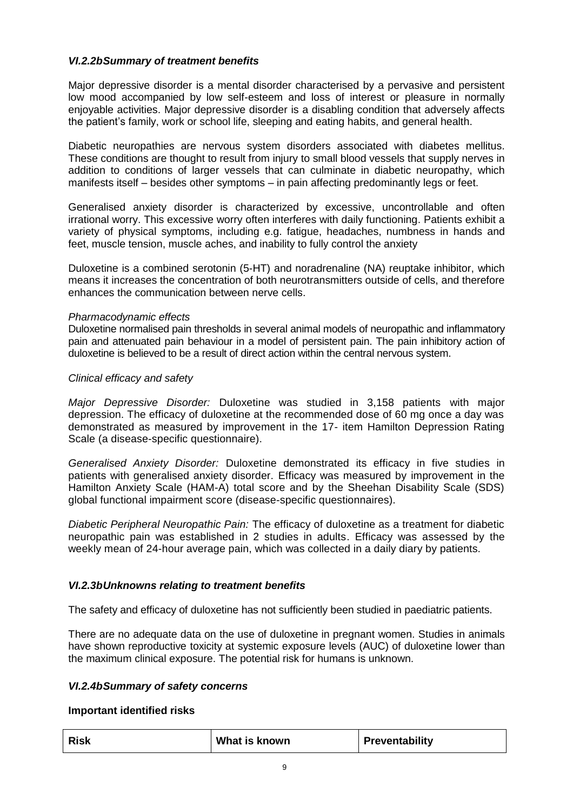## *VI.2.2bSummary of treatment benefits*

Major depressive disorder is a mental disorder characterised by a pervasive and persistent low mood accompanied by low self-esteem and loss of interest or pleasure in normally enjoyable activities. Major depressive disorder is a disabling condition that adversely affects the patient's family, work or school life, sleeping and eating habits, and general health.

Diabetic neuropathies are nervous system disorders associated with diabetes mellitus. These conditions are thought to result from injury to small blood vessels that supply nerves in addition to conditions of larger vessels that can culminate in diabetic neuropathy, which manifests itself – besides other symptoms – in pain affecting predominantly legs or feet.

Generalised anxiety disorder is characterized by excessive, uncontrollable and often irrational worry. This excessive worry often interferes with daily functioning. Patients exhibit a variety of physical symptoms, including e.g. fatigue, headaches, numbness in hands and feet, muscle tension, muscle aches, and inability to fully control the anxiety

Duloxetine is a combined serotonin (5-HT) and noradrenaline (NA) reuptake inhibitor, which means it increases the concentration of both neurotransmitters outside of cells, and therefore enhances the communication between nerve cells.

### *Pharmacodynamic effects*

Duloxetine normalised pain thresholds in several animal models of neuropathic and inflammatory pain and attenuated pain behaviour in a model of persistent pain. The pain inhibitory action of duloxetine is believed to be a result of direct action within the central nervous system.

### *Clinical efficacy and safety*

*Major Depressive Disorder:* Duloxetine was studied in 3,158 patients with major depression. The efficacy of duloxetine at the recommended dose of 60 mg once a day was demonstrated as measured by improvement in the 17- item Hamilton Depression Rating Scale (a disease-specific questionnaire).

*Generalised Anxiety Disorder:* Duloxetine demonstrated its efficacy in five studies in patients with generalised anxiety disorder. Efficacy was measured by improvement in the Hamilton Anxiety Scale (HAM-A) total score and by the Sheehan Disability Scale (SDS) global functional impairment score (disease-specific questionnaires).

*Diabetic Peripheral Neuropathic Pain:* The efficacy of duloxetine as a treatment for diabetic neuropathic pain was established in 2 studies in adults. Efficacy was assessed by the weekly mean of 24-hour average pain, which was collected in a daily diary by patients.

### *VI.2.3bUnknowns relating to treatment benefits*

The safety and efficacy of duloxetine has not sufficiently been studied in paediatric patients.

There are no adequate data on the use of duloxetine in pregnant women. Studies in animals have shown reproductive toxicity at systemic exposure levels (AUC) of duloxetine lower than the maximum clinical exposure. The potential risk for humans is unknown.

### *VI.2.4bSummary of safety concerns*

### **Important identified risks**

| <b>Risk</b> | What is known | Preventability |
|-------------|---------------|----------------|
|-------------|---------------|----------------|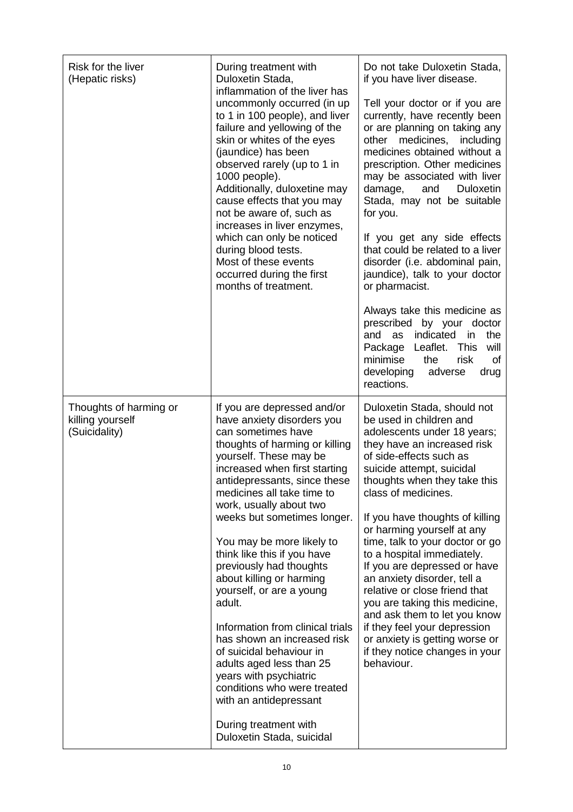| Risk for the liver<br>(Hepatic risks)                       | During treatment with<br>Duloxetin Stada,<br>inflammation of the liver has<br>uncommonly occurred (in up<br>to 1 in 100 people), and liver<br>failure and yellowing of the<br>skin or whites of the eyes<br>(jaundice) has been<br>observed rarely (up to 1 in<br>1000 people).<br>Additionally, duloxetine may<br>cause effects that you may<br>not be aware of, such as<br>increases in liver enzymes,<br>which can only be noticed<br>during blood tests.<br>Most of these events<br>occurred during the first<br>months of treatment.                                                                                                                                                                                         | Do not take Duloxetin Stada,<br>if you have liver disease.<br>Tell your doctor or if you are<br>currently, have recently been<br>or are planning on taking any<br>other medicines,<br>including<br>medicines obtained without a<br>prescription. Other medicines<br>may be associated with liver<br><b>Duloxetin</b><br>damage,<br>and<br>Stada, may not be suitable<br>for you.<br>If you get any side effects<br>that could be related to a liver<br>disorder (i.e. abdominal pain,<br>jaundice), talk to your doctor<br>or pharmacist.<br>Always take this medicine as<br>prescribed<br>by your doctor<br>indicated<br>the<br>and<br>as<br>in<br>Package Leaflet. This<br>will<br>minimise<br>the<br>risk<br>οf<br>developing<br>adverse<br>drug<br>reactions. |
|-------------------------------------------------------------|-----------------------------------------------------------------------------------------------------------------------------------------------------------------------------------------------------------------------------------------------------------------------------------------------------------------------------------------------------------------------------------------------------------------------------------------------------------------------------------------------------------------------------------------------------------------------------------------------------------------------------------------------------------------------------------------------------------------------------------|-------------------------------------------------------------------------------------------------------------------------------------------------------------------------------------------------------------------------------------------------------------------------------------------------------------------------------------------------------------------------------------------------------------------------------------------------------------------------------------------------------------------------------------------------------------------------------------------------------------------------------------------------------------------------------------------------------------------------------------------------------------------|
| Thoughts of harming or<br>killing yourself<br>(Suicidality) | If you are depressed and/or<br>have anxiety disorders you<br>can sometimes have<br>thoughts of harming or killing<br>yourself. These may be<br>increased when first starting<br>antidepressants, since these<br>medicines all take time to<br>work, usually about two<br>weeks but sometimes longer.<br>You may be more likely to<br>think like this if you have<br>previously had thoughts<br>about killing or harming<br>yourself, or are a young<br>adult.<br>Information from clinical trials<br>has shown an increased risk<br>of suicidal behaviour in<br>adults aged less than 25<br>years with psychiatric<br>conditions who were treated<br>with an antidepressant<br>During treatment with<br>Duloxetin Stada, suicidal | Duloxetin Stada, should not<br>be used in children and<br>adolescents under 18 years;<br>they have an increased risk<br>of side-effects such as<br>suicide attempt, suicidal<br>thoughts when they take this<br>class of medicines.<br>If you have thoughts of killing<br>or harming yourself at any<br>time, talk to your doctor or go<br>to a hospital immediately.<br>If you are depressed or have<br>an anxiety disorder, tell a<br>relative or close friend that<br>you are taking this medicine,<br>and ask them to let you know<br>if they feel your depression<br>or anxiety is getting worse or<br>if they notice changes in your<br>behaviour.                                                                                                          |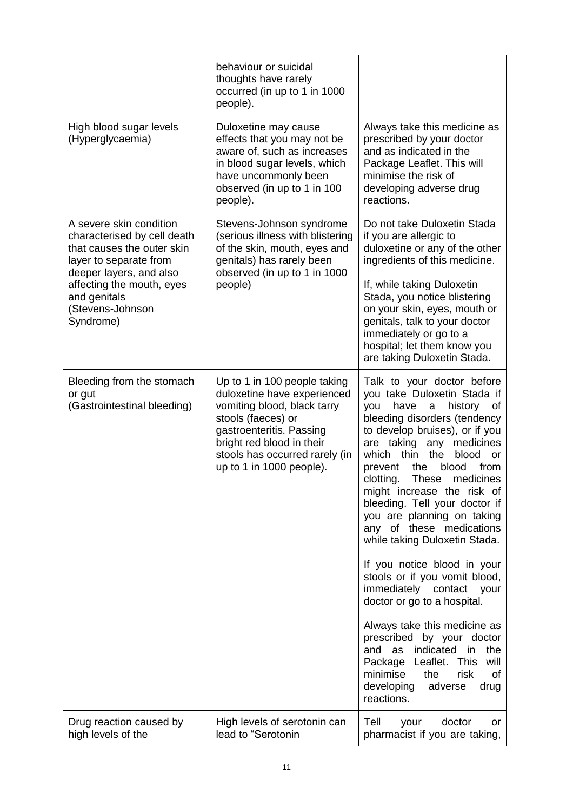|                                                                                                                                                                                                                         | behaviour or suicidal<br>thoughts have rarely<br>occurred (in up to 1 in 1000<br>people).                                                                                                                                               |                                                                                                                                                                                                                                                                                                                                                                                                                                                                                                                                                                                                                                                                                                                                                                                                                         |
|-------------------------------------------------------------------------------------------------------------------------------------------------------------------------------------------------------------------------|-----------------------------------------------------------------------------------------------------------------------------------------------------------------------------------------------------------------------------------------|-------------------------------------------------------------------------------------------------------------------------------------------------------------------------------------------------------------------------------------------------------------------------------------------------------------------------------------------------------------------------------------------------------------------------------------------------------------------------------------------------------------------------------------------------------------------------------------------------------------------------------------------------------------------------------------------------------------------------------------------------------------------------------------------------------------------------|
| High blood sugar levels<br>(Hyperglycaemia)                                                                                                                                                                             | Duloxetine may cause<br>effects that you may not be<br>aware of, such as increases<br>in blood sugar levels, which<br>have uncommonly been<br>observed (in up to 1 in 100<br>people).                                                   | Always take this medicine as<br>prescribed by your doctor<br>and as indicated in the<br>Package Leaflet. This will<br>minimise the risk of<br>developing adverse drug<br>reactions.                                                                                                                                                                                                                                                                                                                                                                                                                                                                                                                                                                                                                                     |
| A severe skin condition<br>characterised by cell death<br>that causes the outer skin<br>layer to separate from<br>deeper layers, and also<br>affecting the mouth, eyes<br>and genitals<br>(Stevens-Johnson<br>Syndrome) | Stevens-Johnson syndrome<br>(serious illness with blistering<br>of the skin, mouth, eyes and<br>genitals) has rarely been<br>observed (in up to 1 in 1000<br>people)                                                                    | Do not take Duloxetin Stada<br>if you are allergic to<br>duloxetine or any of the other<br>ingredients of this medicine.<br>If, while taking Duloxetin<br>Stada, you notice blistering<br>on your skin, eyes, mouth or<br>genitals, talk to your doctor<br>immediately or go to a<br>hospital; let them know you<br>are taking Duloxetin Stada.                                                                                                                                                                                                                                                                                                                                                                                                                                                                         |
| Bleeding from the stomach<br>or gut<br>(Gastrointestinal bleeding)                                                                                                                                                      | Up to 1 in 100 people taking<br>duloxetine have experienced<br>vomiting blood, black tarry<br>stools (faeces) or<br>gastroenteritis. Passing<br>bright red blood in their<br>stools has occurred rarely (in<br>up to 1 in 1000 people). | Talk to your doctor before<br>you take Duloxetin Stada if<br>have<br>history<br>you<br>0f<br>a<br>bleeding disorders (tendency<br>to develop bruises), or if you<br>are taking<br>medicines<br>any<br>which thin<br>the<br>blood<br><b>or</b><br>the<br>blood<br>from<br>prevent<br>clotting.<br>These<br>medicines<br>might increase the risk of<br>bleeding. Tell your doctor if<br>you are planning on taking<br>any of these medications<br>while taking Duloxetin Stada.<br>If you notice blood in your<br>stools or if you vomit blood,<br>immediately contact your<br>doctor or go to a hospital.<br>Always take this medicine as<br>prescribed by your doctor<br>and as indicated<br>the<br>in<br>Package Leaflet. This<br>will<br>minimise<br>risk<br>the<br>οf<br>developing<br>adverse<br>drug<br>reactions. |
| Drug reaction caused by<br>high levels of the                                                                                                                                                                           | High levels of serotonin can<br>lead to "Serotonin                                                                                                                                                                                      | Tell<br>your<br>doctor<br>or<br>pharmacist if you are taking,                                                                                                                                                                                                                                                                                                                                                                                                                                                                                                                                                                                                                                                                                                                                                           |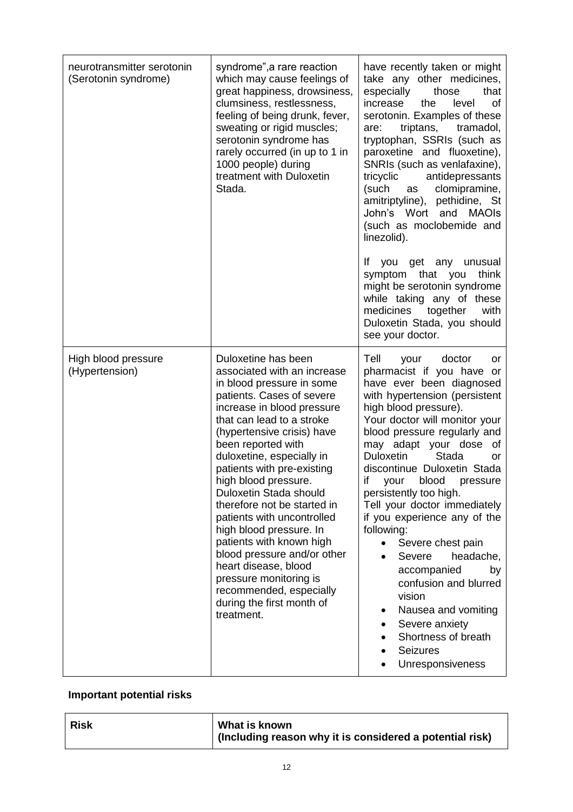| neurotransmitter serotonin<br>(Serotonin syndrome) | syndrome", a rare reaction<br>which may cause feelings of<br>great happiness, drowsiness,<br>clumsiness, restlessness,<br>feeling of being drunk, fever,<br>sweating or rigid muscles;<br>serotonin syndrome has<br>rarely occurred (in up to 1 in<br>1000 people) during<br>treatment with Duloxetin<br>Stada.                                                                                                                                                                                                                                                                                                     | have recently taken or might<br>take any other medicines,<br>especially<br>those<br>that<br>increase<br>the<br>level<br>οf<br>serotonin. Examples of these<br>triptans, tramadol,<br>are:<br>tryptophan, SSRIs (such as<br>paroxetine and fluoxetine),<br>SNRIs (such as venlafaxine),<br>tricyclic<br>antidepressants<br>(such<br>clomipramine,<br>as<br>amitriptyline), pethidine, St<br>John's Wort and<br><b>MAOIs</b><br>(such as moclobemide and<br>linezolid).<br>lf.<br>you get any<br>unusual<br>think<br>that<br>symptom<br>you<br>might be serotonin syndrome<br>while taking any of these<br>medicines<br>together<br>with<br>Duloxetin Stada, you should<br>see your doctor. |
|----------------------------------------------------|---------------------------------------------------------------------------------------------------------------------------------------------------------------------------------------------------------------------------------------------------------------------------------------------------------------------------------------------------------------------------------------------------------------------------------------------------------------------------------------------------------------------------------------------------------------------------------------------------------------------|-------------------------------------------------------------------------------------------------------------------------------------------------------------------------------------------------------------------------------------------------------------------------------------------------------------------------------------------------------------------------------------------------------------------------------------------------------------------------------------------------------------------------------------------------------------------------------------------------------------------------------------------------------------------------------------------|
| High blood pressure<br>(Hypertension)              | Duloxetine has been<br>associated with an increase<br>in blood pressure in some<br>patients. Cases of severe<br>increase in blood pressure<br>that can lead to a stroke<br>(hypertensive crisis) have<br>been reported with<br>duloxetine, especially in<br>patients with pre-existing<br>high blood pressure.<br>Duloxetin Stada should<br>therefore not be started in<br>patients with uncontrolled<br>high blood pressure. In<br>patients with known high<br>blood pressure and/or other<br>heart disease, blood<br>pressure monitoring is<br>recommended, especially<br>during the first month of<br>treatment. | Tell<br>doctor<br>your<br>or<br>pharmacist if you have or<br>have ever been diagnosed<br>with hypertension (persistent<br>high blood pressure).<br>Your doctor will monitor your<br>blood pressure regularly and<br>may adapt your dose<br>0f<br><b>Stada</b><br><b>Duloxetin</b><br>or<br>discontinue Duloxetin Stada<br>if<br>blood<br>your<br>pressure<br>persistently too high.<br>Tell your doctor immediately<br>if you experience any of the<br>following:<br>Severe chest pain<br>$\bullet$<br>Severe<br>headache,<br>accompanied<br>by<br>confusion and blurred<br>vision<br>Nausea and vomiting<br>Severe anxiety<br>Shortness of breath<br><b>Seizures</b><br>Unresponsiveness |

# **Important potential risks**

|  | <b>Risk</b> | What is known<br>  (Including reason why it is considered a potential risk) |
|--|-------------|-----------------------------------------------------------------------------|
|--|-------------|-----------------------------------------------------------------------------|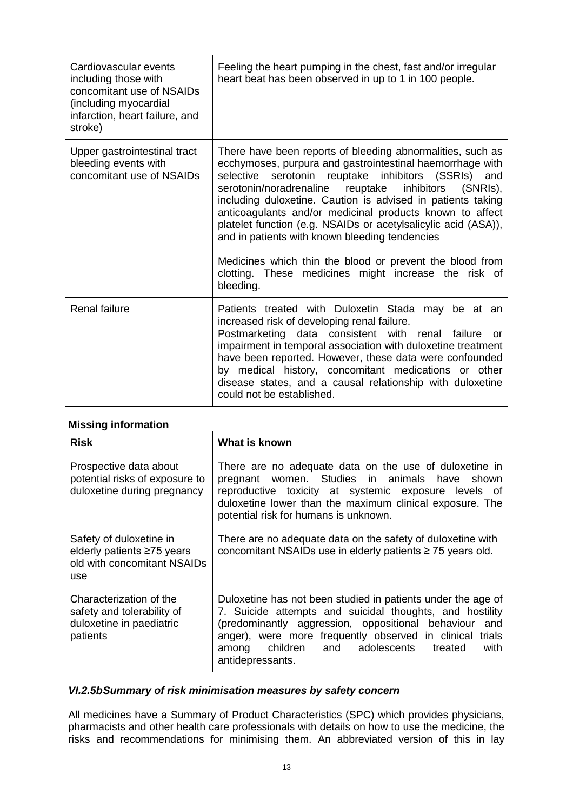| Cardiovascular events<br>including those with<br>concomitant use of NSAIDs<br>(including myocardial<br>infarction, heart failure, and<br>stroke) | Feeling the heart pumping in the chest, fast and/or irregular<br>heart beat has been observed in up to 1 in 100 people.                                                                                                                                                                                                                                                                                                                                                                                                                                                                                                         |
|--------------------------------------------------------------------------------------------------------------------------------------------------|---------------------------------------------------------------------------------------------------------------------------------------------------------------------------------------------------------------------------------------------------------------------------------------------------------------------------------------------------------------------------------------------------------------------------------------------------------------------------------------------------------------------------------------------------------------------------------------------------------------------------------|
| Upper gastrointestinal tract<br>bleeding events with<br>concomitant use of NSAIDs                                                                | There have been reports of bleeding abnormalities, such as<br>ecchymoses, purpura and gastrointestinal haemorrhage with<br>serotonin reuptake inhibitors (SSRIs) and<br>selective<br>serotonin/noradrenaline reuptake inhibitors<br>$(SNRIs)$ .<br>including duloxetine. Caution is advised in patients taking<br>anticoagulants and/or medicinal products known to affect<br>platelet function (e.g. NSAIDs or acetylsalicylic acid (ASA)),<br>and in patients with known bleeding tendencies<br>Medicines which thin the blood or prevent the blood from<br>clotting. These medicines might increase the risk of<br>bleeding. |
| <b>Renal failure</b>                                                                                                                             | Patients treated with Duloxetin Stada may be at an<br>increased risk of developing renal failure.<br>Postmarketing data consistent with renal failure<br>or<br>impairment in temporal association with duloxetine treatment<br>have been reported. However, these data were confounded<br>by medical history, concomitant medications or other<br>disease states, and a causal relationship with duloxetine<br>could not be established.                                                                                                                                                                                        |

# **Missing information**

| <b>Risk</b>                                                                                   | What is known                                                                                                                                                                                                                                                                                                             |
|-----------------------------------------------------------------------------------------------|---------------------------------------------------------------------------------------------------------------------------------------------------------------------------------------------------------------------------------------------------------------------------------------------------------------------------|
| Prospective data about<br>potential risks of exposure to<br>duloxetine during pregnancy       | There are no adequate data on the use of duloxetine in<br>pregnant women. Studies in animals have shown<br>reproductive toxicity at systemic exposure levels of<br>duloxetine lower than the maximum clinical exposure. The<br>potential risk for humans is unknown.                                                      |
| Safety of duloxetine in<br>elderly patients ≥75 years<br>old with concomitant NSAIDs<br>use   | There are no adequate data on the safety of duloxetine with<br>concomitant NSAIDs use in elderly patients ≥ 75 years old.                                                                                                                                                                                                 |
| Characterization of the<br>safety and tolerability of<br>duloxetine in paediatric<br>patients | Duloxetine has not been studied in patients under the age of<br>7. Suicide attempts and suicidal thoughts, and hostility<br>(predominantly aggression, oppositional behaviour<br>and<br>anger), were more frequently observed in clinical<br>trials<br>among children and adolescents treated<br>with<br>antidepressants. |

# *VI.2.5bSummary of risk minimisation measures by safety concern*

All medicines have a Summary of Product Characteristics (SPC) which provides physicians, pharmacists and other health care professionals with details on how to use the medicine, the risks and recommendations for minimising them. An abbreviated version of this in lay